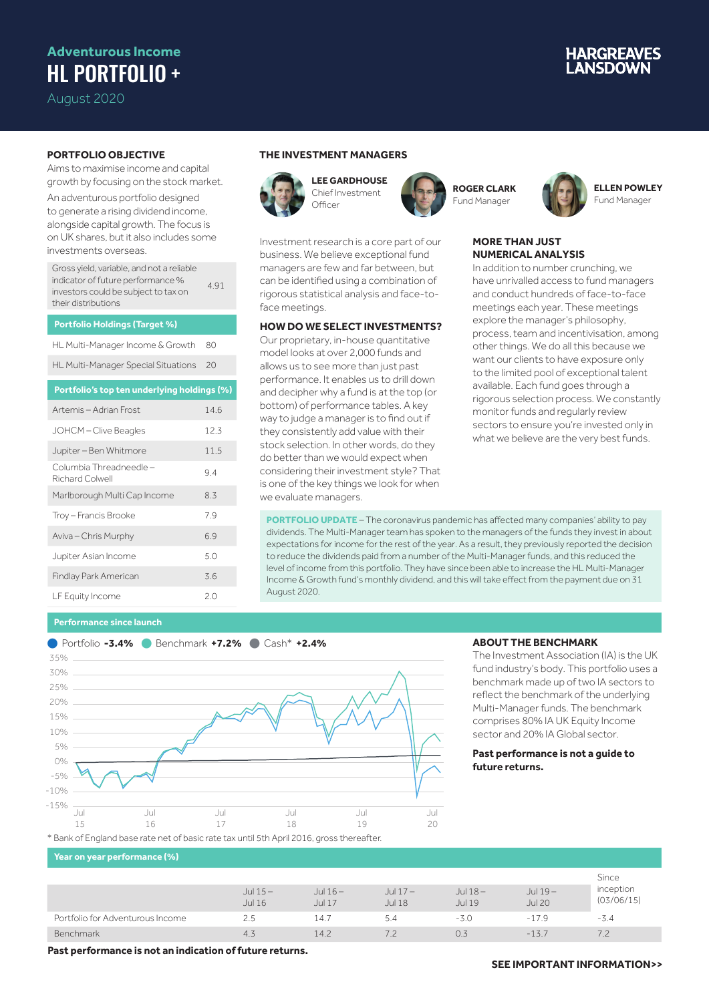## **Adventurous Income** HL PORTFOLIO +

August 2020

# **IARGREAVES**

### **PORTFOLIO OBJECTIVE**

Aims to maximise income and capital growth by focusing on the stock market.

An adventurous portfolio designed to generate a rising dividend income, alongside capital growth. The focus is on UK shares, but it also includes some investments overseas.

Gross yield, variable, and not a reliable indicator of future performance % investors could be subject to tax on their distributions 4.91

#### **Portfolio Holdings (Target %)**

HL Multi-Manager Income & Growth 80

HL Multi-Manager Special Situations 20

#### **Portfolio's top ten underlying holdings (%)**

| Artemis – Adrian Frost                     | 14.6 |
|--------------------------------------------|------|
| JOHCM-Clive Beagles                        | 12.3 |
| Jupiter - Ben Whitmore                     | 11.5 |
| Columbia Threadneedle –<br>Richard Colwell | 9.4  |
| Marlborough Multi Cap Income               | 8.3  |
| Troy - Francis Brooke                      | 7.9  |
| Aviva - Chris Murphy                       | 6.9  |
| Jupiter Asian Income                       | 5.0  |
| Findlay Park American                      | 3.6  |
| LF Equity Income                           | 20   |

### **THE INVESTMENT MANAGERS**



face meetings.

we evaluate managers.



Investment research is a core part of our business. We believe exceptional fund managers are few and far between, but can be identified using a combination of rigorous statistical analysis and face-to-

**HOW DO WE SELECT INVESTMENTS?** Our proprietary, in-house quantitative model looks at over 2,000 funds and allows us to see more than just past performance. It enables us to drill down and decipher why a fund is at the top (or bottom) of performance tables. A key way to judge a manager is to find out if they consistently add value with their stock selection. In other words, do they do better than we would expect when considering their investment style? That is one of the key things we look for when

**ROGER CLARK** Fund Manager



#### **MORE THAN JUST NUMERICAL ANALYSIS**

In addition to number crunching, we have unrivalled access to fund managers and conduct hundreds of face-to-face meetings each year. These meetings explore the manager's philosophy, process, team and incentivisation, among other things. We do all this because we want our clients to have exposure only to the limited pool of exceptional talent available. Each fund goes through a rigorous selection process. We constantly monitor funds and regularly review sectors to ensure you're invested only in what we believe are the very best funds.

**PORTFOLIO UPDATE** – The coronavirus pandemic has affected many companies' ability to pay dividends. The Multi-Manager team has spoken to the managers of the funds they invest in about expectations for income for the rest of the year. As a result, they previously reported the decision to reduce the dividends paid from a number of the Multi-Manager funds, and this reduced the level of income from this portfolio. They have since been able to increase the HL Multi-Manager Income & Growth fund's monthly dividend, and this will take effect from the payment due on 31 August 2020.

#### **Performance since launch**



#### **ABOUT THE BENCHMARK**

The Investment Association (IA) is the UK fund industry's body. This portfolio uses a benchmark made up of two IA sectors to reflect the benchmark of the underlying Multi-Manager funds. The benchmark comprises 80% IA UK Equity Income sector and 20% IA Global sector.

#### **Past performance is not a guide to future returns.**

#### **Year on year performance (%)**

|                                  | Jul $15-$<br><b>Jul 16</b> | Jul 16 –<br><b>Jul 17</b> | Jul $17-$<br><b>Jul 18</b> | Jul $18-$<br>Jul 19 | Jul 19-<br><b>Jul 20</b> | inception<br>(03/06/15) |
|----------------------------------|----------------------------|---------------------------|----------------------------|---------------------|--------------------------|-------------------------|
| Portfolio for Adventurous Income | 2.5                        | 14.7                      | 5.4                        | -3.0                | $-17.9$                  | $-3.4$                  |
| Benchmark                        | 4.3                        | 14.2                      |                            | 0.3                 | $-13.7$                  |                         |

**Past performance is not an indication of future returns.**

#### **SEE IMPORTANT INFORMATION>>**